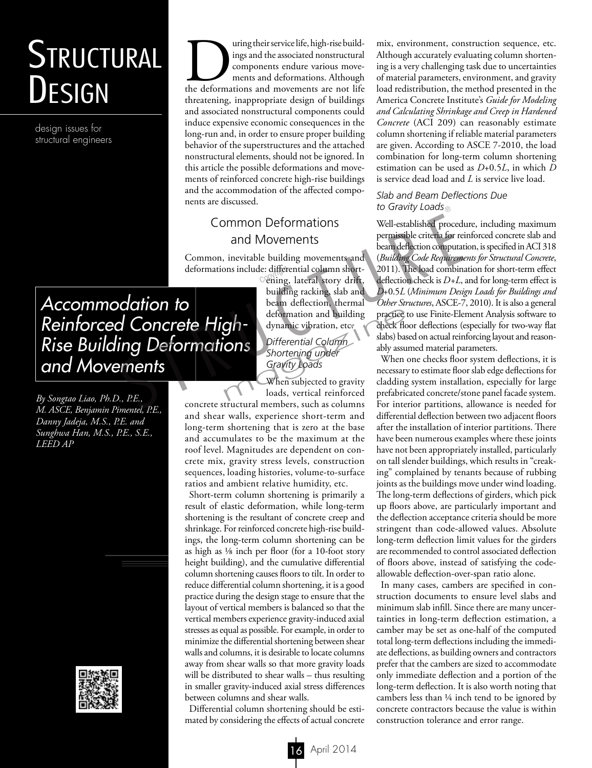# **STRUCTURAL** Design

design issues for structural engineers

Turing their service life, high-rise build-<br>ings and the associated nonstructural<br>components endure various movements and deformations. Although<br>the deformations and movements are not life ings and the associated nonstructural components endure various movements and deformations. Although threatening, inappropriate design of buildings and associated nonstructural components could induce expensive economic consequences in the long-run and, in order to ensure proper building behavior of the superstructures and the attached nonstructural elements, should not be ignored. In this article the possible deformations and movements of reinforced concrete high-rise buildings and the accommodation of the affected components are discussed.

## Common Deformations and Movements

Common, inevitable building movements and deformations include: differential column short-<br>ening, lateral story drift.

ening, lateral story drift, building racking, slab and beam deflection, thermal deformation and building dynamic vibration, etc.

# *Differential Column Shortening under Gravity Loads* deformation and building<br>
practice through dynamic vibration, etc.<br>
Differential Column<br>
Shortening under<br>
Gravity Loads<br>
When subjected to gravity<br>
leading<br>
loads, vertical reinforced prefabric

When subjected to gravity loads, vertical reinforced

concrete structural members, such as columns and shear walls, experience short-term and long-term shortening that is zero at the base and accumulates to be the maximum at the roof level. Magnitudes are dependent on concrete mix, gravity stress levels, construction sequences, loading histories, volume-to-surface ratios and ambient relative humidity, etc.

Short-term column shortening is primarily a result of elastic deformation, while long-term shortening is the resultant of concrete creep and shrinkage. For reinforced concrete high-rise buildings, the long-term column shortening can be as high as 1/8 inch per floor (for a 10-foot story height building), and the cumulative differential column shortening causes floors to tilt. In order to reduce differential column shortening, it is a good practice during the design stage to ensure that the layout of vertical members is balanced so that the vertical members experience gravity-induced axial stresses as equal as possible. For example, in order to minimize the differential shortening between shear walls and columns, it is desirable to locate columns away from shear walls so that more gravity loads will be distributed to shear walls – thus resulting in smaller gravity-induced axial stress differences between columns and shear walls.

Differential column shortening should be estimated by considering the effects of actual concrete

mix, environment, construction sequence, etc. Although accurately evaluating column shortening is a very challenging task due to uncertainties of material parameters, environment, and gravity load redistribution, the method presented in the America Concrete Institute's *Guide for Modeling and Calculating Shrinkage and Creep in Hardened Concrete* (ACI 209) can reasonably estimate column shortening if reliable material parameters are given. According to ASCE 7-2010, the load combination for long-term column shortening estimation can be used as *D*+0.5*L*, in which *D* is service dead load and *L* is service live load.

#### *Slab and Beam Deflections Due to Gravity Loads*

Well-established procedure, including maximum permissible criteria for reinforced concrete slab and beam deflection computation, is specified in ACI 318 (*Building Code Requirements for Structural Concrete*, 2011). The load combination for short-term effect deflection check is *D+L*, and for long-term effect is *D*+0.5*L* (*Minimum Design Loads for Buildings and Other Structures*, ASCE-7, 2010). It is also a general practice to use Finite-Element Analysis software to check floor deflections (especially for two-way flat slabs) based on actual reinforcing layout and reasonably assumed material parameters. Common Deformations<br>
and Movements<br>
Common, inevitable building movements and *(Building Code Requirem*<br>
deformations include: differential column short-<br>
deformations include: differential column short-<br>
2011). The load

When one checks floor system deflections, it is necessary to estimate floor slab edge deflections for cladding system installation, especially for large prefabricated concrete/stone panel facade system. For interior partitions, allowance is needed for differential deflection between two adjacent floors after the installation of interior partitions. There have been numerous examples where these joints have not been appropriately installed, particularly on tall slender buildings, which results in "creaking" complained by tenants because of rubbing joints as the buildings move under wind loading. The long-term deflections of girders, which pick up floors above, are particularly important and the deflection acceptance criteria should be more stringent than code-allowed values. Absolute long-term deflection limit values for the girders are recommended to control associated deflection of floors above, instead of satisfying the codeallowable deflection-over-span ratio alone.

In many cases, cambers are specified in construction documents to ensure level slabs and minimum slab infill. Since there are many uncertainties in long-term deflection estimation, a camber may be set as one-half of the computed total long-term deflections including the immediate deflections, as building owners and contractors prefer that the cambers are sized to accommodate only immediate deflection and a portion of the long-term deflection. It is also worth noting that cambers less than ¼ inch tend to be ignored by concrete contractors because the value is within construction tolerance and error range.

*Accommodation to Reinforced Concrete High-Rise Building Deformations and Movements* 

*By Songtao Liao, Ph.D., P.E., M. ASCE, Benjamin Pimentel, P.E., Danny Jadeja, M.S., P.E. and Sunghwa Han, M.S., P.E., S.E., LEED AP*

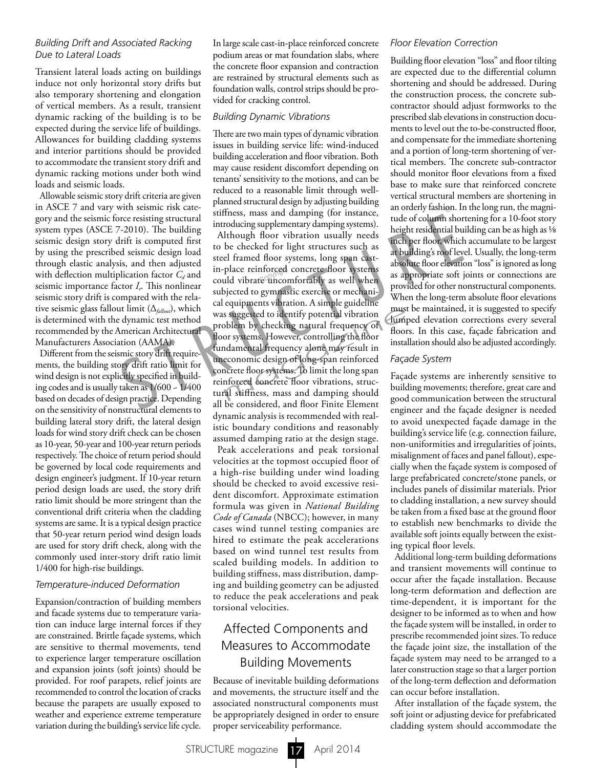#### *Building Drift and Associated Racking Due to Lateral Loads*

Transient lateral loads acting on buildings induce not only horizontal story drifts but also temporary shortening and elongation of vertical members. As a result, transient dynamic racking of the building is to be expected during the service life of buildings. Allowances for building cladding systems and interior partitions should be provided to accommodate the transient story drift and dynamic racking motions under both wind loads and seismic loads.

Allowable seismic story drift criteria are given in ASCE 7 and vary with seismic risk category and the seismic force resisting structural system types (ASCE 7-2010). The building seismic design story drift is computed first by using the prescribed seismic design load through elastic analysis, and then adjusted with deflection multiplication factor  $C_d$  and seismic importance factor *I<sub>r</sub>*. This nonlinear seismic story drift is compared with the relative seismic glass fallout limit (∆*fallout*), which is determined with the dynamic test method recommended by the American Architectural Manufacturers Association (AAMA).

Different from the seismic story drift requirements, the building story drift ratio limit for wind design is not explicitly specified in building codes and is usually taken as 1/600 ~ 1/400 based on decades of design practice. Depending on the sensitivity of nonstructural elements to building lateral story drift, the lateral design loads for wind story drift check can be chosen as 10-year, 50-year and 100-year return periods respectively. The choice of return period should be governed by local code requirements and design engineer's judgment. If 10-year return period design loads are used, the story drift ratio limit should be more stringent than the conventional drift criteria when the cladding systems are same. It is a typical design practice that 50-year return period wind design loads are used for story drift check, along with the commonly used inter-story drift ratio limit 1/400 for high-rise buildings.

#### *Temperature-induced Deformation*

Expansion/contraction of building members and facade systems due to temperature variation can induce large internal forces if they are constrained. Brittle façade systems, which are sensitive to thermal movements, tend to experience larger temperature oscillation and expansion joints (soft joints) should be provided. For roof parapets, relief joints are recommended to control the location of cracks because the parapets are usually exposed to weather and experience extreme temperature variation during the building's service life cycle.

In large scale cast-in-place reinforced concrete podium areas or mat foundation slabs, where the concrete floor expansion and contraction are restrained by structural elements such as foundation walls, control strips should be provided for cracking control.

#### *Building Dynamic Vibrations*

There are two main types of dynamic vibration issues in building service life: wind-induced building acceleration and floor vibration. Both may cause resident discomfort depending on tenants' sensitivity to the motions, and can be reduced to a reasonable limit through wellplanned structural design by adjusting building stiffness, mass and damping (for instance, introducing supplementary damping systems).

Although floor vibration usually needs to be checked for light structures such as steel framed floor systems, long span castin-place reinforced concrete floor systems in-place reinforced concrete floor systems<br>could vibrate uncomfortably as well when subjected to gymnastic exercise or mechanical equipments vibration. A simple guideline was suggested to identify potential vibration problem by checking natural frequency of floor systems. However, controlling the floor fundamental frequency alone may result in uneconomic design of long-span reinforced concrete floor systems. To limit the long span reinforced concrete floor vibrations, structural stiffness, mass and damping should all be considered, and floor Finite Element dynamic analysis is recommended with realistic boundary conditions and reasonably assumed damping ratio at the design stage. with seismic risk caterating structural<br>
right restation. If<br>
recressionic introducing supplementary damping (for instance,<br>
reaction and derivation of column show that introducing supplementary damping systems).<br>
Legibri must<br>blem by checking natural frequency of<br>blem by checking natural frequency of<br>or systems. However, controlling the floor<br>instal<br>damental frequency alone may result in<br>economic design of long-span reinforced<br>acrete floor

Peak accelerations and peak torsional velocities at the topmost occupied floor of a high-rise building under wind loading should be checked to avoid excessive resident discomfort. Approximate estimation formula was given in *National Building Code of Canada* (NBCC); however, in many cases wind tunnel testing companies are hired to estimate the peak accelerations based on wind tunnel test results from scaled building models. In addition to building stiffness, mass distribution, damping and building geometry can be adjusted to reduce the peak accelerations and peak torsional velocities.

## Affected Components and Measures to Accommodate Building Movements

Because of inevitable building deformations and movements, the structure itself and the associated nonstructural components must be appropriately designed in order to ensure proper serviceability performance.

#### *Floor Elevation Correction*

Building floor elevation "loss" and floor tilting are expected due to the differential column shortening and should be addressed. During the construction process, the concrete subcontractor should adjust formworks to the prescribed slab elevations in construction documents to level out the to-be-constructed floor, and compensate for the immediate shortening and a portion of long-term shortening of vertical members. The concrete sub-contractor should monitor floor elevations from a fixed base to make sure that reinforced concrete vertical structural members are shortening in an orderly fashion. In the long run, the magnitude of column shortening for a 10-foot story height residential building can be as high as 1/8 inch per floor, which accumulate to be largest at building's roof level. Usually, the long-term absolute floor elevation "loss" is ignored as long as appropriate soft joints or connections are provided for other nonstructural components. When the long-term absolute floor elevations must be maintained, it is suggested to specify lumped elevation corrections every several floors. In this case, façade fabrication and installation should also be adjusted accordingly.

#### *Façade System*

Façade systems are inherently sensitive to building movements; therefore, great care and good communication between the structural engineer and the façade designer is needed to avoid unexpected façade damage in the building's service life (e.g. connection failure, non-uniformities and irregularities of joints, misalignment of faces and panel fallout), especially when the façade system is composed of large prefabricated concrete/stone panels, or includes panels of dissimilar materials. Prior to cladding installation, a new survey should be taken from a fixed base at the ground floor to establish new benchmarks to divide the available soft joints equally between the existing typical floor levels.

Additional long-term building deformations and transient movements will continue to occur after the façade installation. Because long-term deformation and deflection are time-dependent, it is important for the designer to be informed as to when and how the façade system will be installed, in order to prescribe recommended joint sizes. To reduce the façade joint size, the installation of the façade system may need to be arranged to a later construction stage so that a larger portion of the long-term deflection and deformation can occur before installation.

After installation of the façade system, the soft joint or adjusting device for prefabricated cladding system should accommodate the